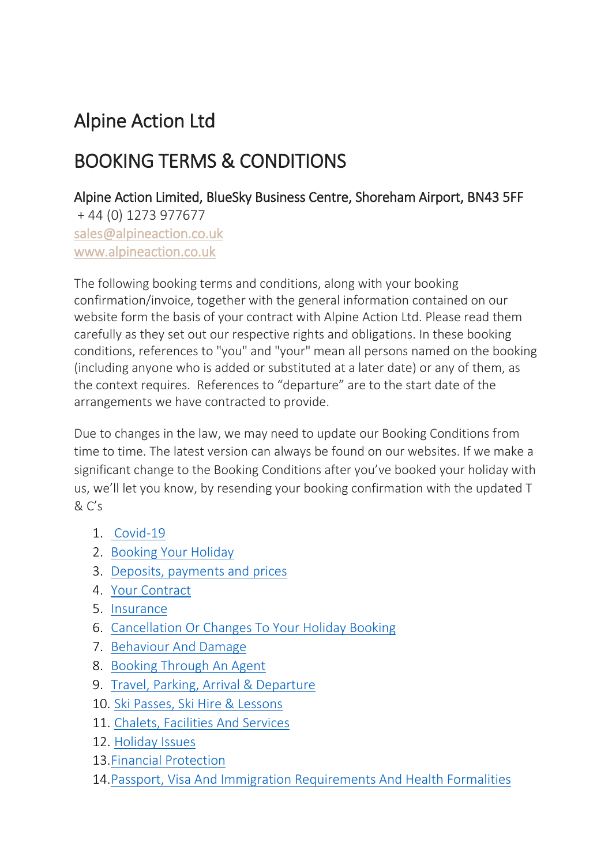### <span id="page-0-0"></span>Alpine Action Ltd

### BOOKING TERMS & CONDITIONS

Alpine Action Limited, BlueSky Business Centre, Shoreham Airport, BN43 5FF + 44 (0) 1273 977677 [sales@alpineaction.co.uk](mailto:sales@alpineaction.co.uk) [www.alpineaction.co.uk](http://www.alpineaction.co.uk/)

The following booking terms and conditions, along with your booking confirmation/invoice, together with the general information contained on our website form the basis of your contract with Alpine Action Ltd. Please read them carefully as they set out our respective rights and obligations. In these booking conditions, references to "you" and "your" mean all persons named on the booking (including anyone who is added or substituted at a later date) or any of them, as the context requires. References to "departure" are to the start date of the arrangements we have contracted to provide.

Due to changes in the law, we may need to update our Booking Conditions from time to time. The latest version can always be found on our websites. If we make a significant change to the Booking Conditions after you've booked your holiday with us, we'll let you know, by resending your booking confirmation with the updated T  $& C's$ 

- 1. [Covid-19](#page-0-0)
- 2. Booking Your Holiday
- 3. Deposits, payments and prices
- 4. Your Contract
- 5. Insurance
- 6. Cancellation Or Changes To Your Holiday Booking
- 7. Behaviour And Damage
- 8. Booking Through An Agent
- 9. Travel, Parking, Arrival & Departure
- 10. Ski Passes, Ski Hire & Lessons
- 11. Chalets, Facilities And Services
- 12. Holiday Issues
- 13.Financial Protection
- 14.Passport, Visa And Immigration Requirements And Health Formalities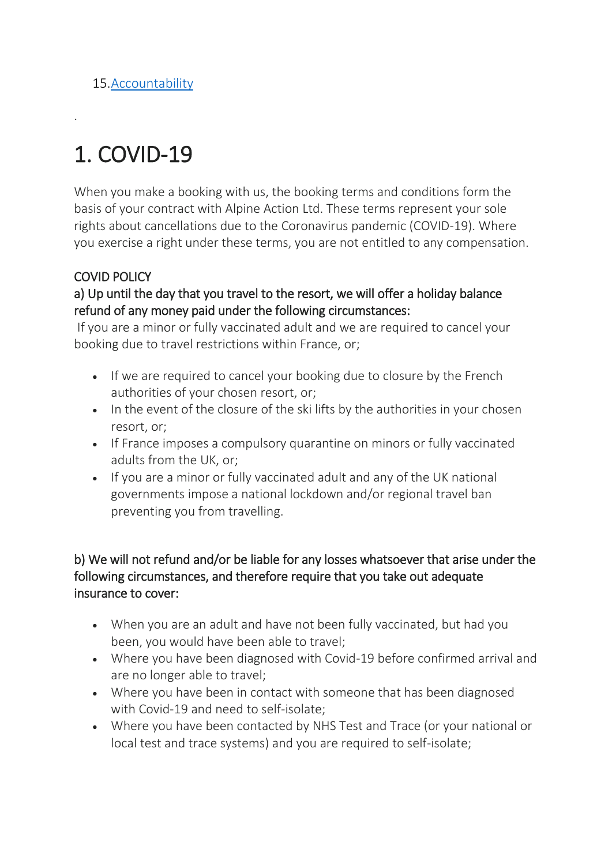### 1. COVID-19

.

When you make a booking with us, the booking terms and conditions form the basis of your contract with Alpine Action Ltd. These terms represent your sole rights about cancellations due to the Coronavirus pandemic (COVID-19). Where you exercise a right under these terms, you are not entitled to any compensation.

### COVID POLICY

### a) Up until the day that you travel to the resort, we will offer a holiday balance refund of any money paid under the following circumstances:

If you are a minor or fully vaccinated adult and we are required to cancel your booking due to travel restrictions within France, or;

- If we are required to cancel your booking due to closure by the French authorities of your chosen resort, or;
- In the event of the closure of the ski lifts by the authorities in your chosen resort, or;
- If France imposes a compulsory quarantine on minors or fully vaccinated adults from the UK, or;
- If you are a minor or fully vaccinated adult and any of the UK national governments impose a national lockdown and/or regional travel ban preventing you from travelling.

### b) We will not refund and/or be liable for any losses whatsoever that arise under the following circumstances, and therefore require that you take out adequate insurance to cover:

- When you are an adult and have not been fully vaccinated, but had you been, you would have been able to travel;
- Where you have been diagnosed with Covid-19 before confirmed arrival and are no longer able to travel;
- Where you have been in contact with someone that has been diagnosed with Covid-19 and need to self-isolate;
- Where you have been contacted by NHS Test and Trace (or your national or local test and trace systems) and you are required to self-isolate;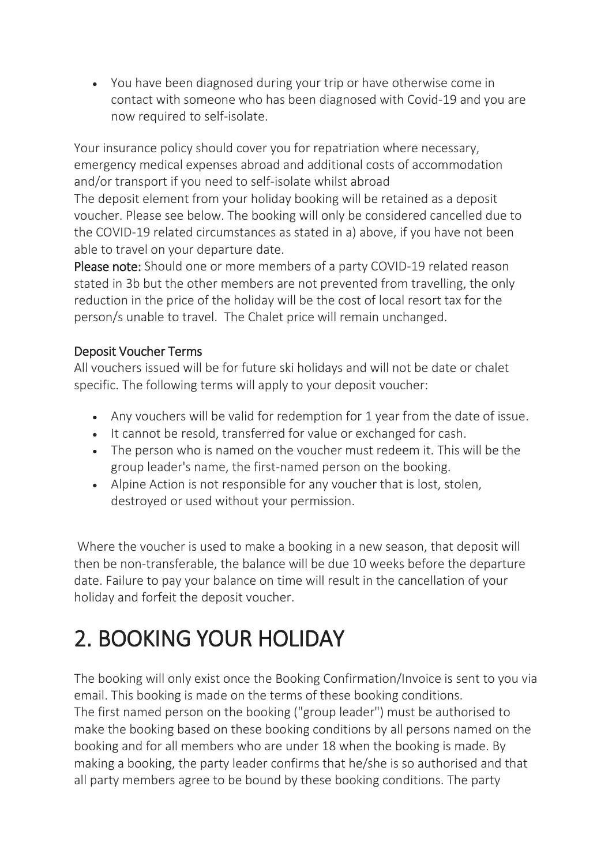You have been diagnosed during your trip or have otherwise come in contact with someone who has been diagnosed with Covid-19 and you are now required to self-isolate.

Your insurance policy should cover you for repatriation where necessary, emergency medical expenses abroad and additional costs of accommodation and/or transport if you need to self-isolate whilst abroad

The deposit element from your holiday booking will be retained as a deposit voucher. Please see below. The booking will only be considered cancelled due to the COVID-19 related circumstances as stated in a) above, if you have not been able to travel on your departure date.

Please note: Should one or more members of a party COVID-19 related reason stated in 3b but the other members are not prevented from travelling, the only reduction in the price of the holiday will be the cost of local resort tax for the person/s unable to travel. The Chalet price will remain unchanged.

### Deposit Voucher Terms

All vouchers issued will be for future ski holidays and will not be date or chalet specific. The following terms will apply to your deposit voucher:

- Any vouchers will be valid for redemption for 1 year from the date of issue.
- It cannot be resold, transferred for value or exchanged for cash.
- The person who is named on the voucher must redeem it. This will be the group leader's name, the first-named person on the booking.
- Alpine Action is not responsible for any voucher that is lost, stolen, destroyed or used without your permission.

Where the voucher is used to make a booking in a new season, that deposit will then be non-transferable, the balance will be due 10 weeks before the departure date. Failure to pay your balance on time will result in the cancellation of your holiday and forfeit the deposit voucher.

# 2. BOOKING YOUR HOLIDAY

The booking will only exist once the Booking Confirmation/Invoice is sent to you via email. This booking is made on the terms of these booking conditions. The first named person on the booking ("group leader") must be authorised to make the booking based on these booking conditions by all persons named on the booking and for all members who are under 18 when the booking is made. By making a booking, the party leader confirms that he/she is so authorised and that all party members agree to be bound by these booking conditions. The party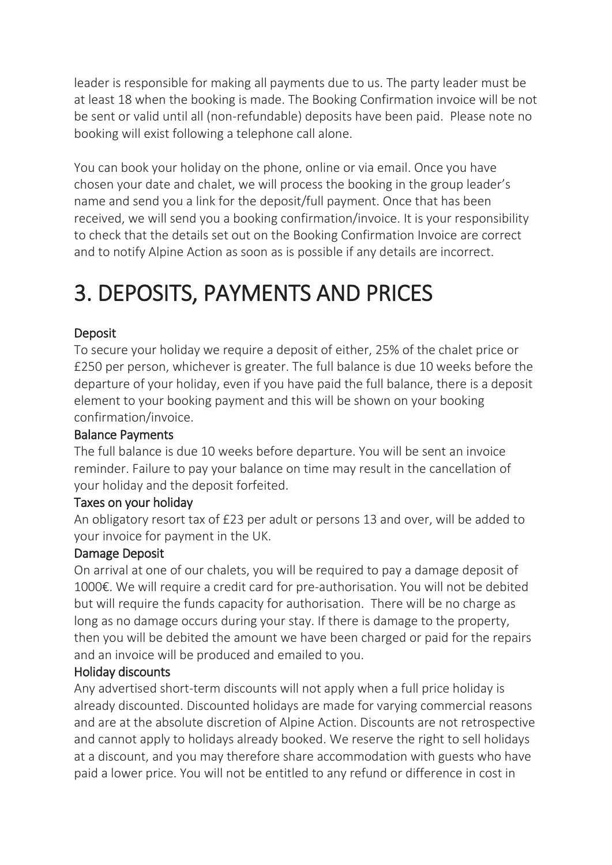leader is responsible for making all payments due to us. The party leader must be at least 18 when the booking is made. The Booking Confirmation invoice will be not be sent or valid until all (non-refundable) deposits have been paid. Please note no booking will exist following a telephone call alone.

You can book your holiday on the phone, online or via email. Once you have chosen your date and chalet, we will process the booking in the group leader's name and send you a link for the deposit/full payment. Once that has been received, we will send you a booking confirmation/invoice. It is your responsibility to check that the details set out on the Booking Confirmation Invoice are correct and to notify Alpine Action as soon as is possible if any details are incorrect.

## 3. DEPOSITS, PAYMENTS AND PRICES

### Deposit

To secure your holiday we require a deposit of either, 25% of the chalet price or £250 per person, whichever is greater. The full balance is due 10 weeks before the departure of your holiday, even if you have paid the full balance, there is a deposit element to your booking payment and this will be shown on your booking confirmation/invoice.

### Balance Payments

The full balance is due 10 weeks before departure. You will be sent an invoice reminder. Failure to pay your balance on time may result in the cancellation of your holiday and the deposit forfeited.

### Taxes on your holiday

An obligatory resort tax of £23 per adult or persons 13 and over, will be added to your invoice for payment in the UK.

### Damage Deposit

On arrival at one of our chalets, you will be required to pay a damage deposit of 1000€. We will require a credit card for pre-authorisation. You will not be debited but will require the funds capacity for authorisation. There will be no charge as long as no damage occurs during your stay. If there is damage to the property, then you will be debited the amount we have been charged or paid for the repairs and an invoice will be produced and emailed to you.

### Holiday discounts

Any advertised short-term discounts will not apply when a full price holiday is already discounted. Discounted holidays are made for varying commercial reasons and are at the absolute discretion of Alpine Action. Discounts are not retrospective and cannot apply to holidays already booked. We reserve the right to sell holidays at a discount, and you may therefore share accommodation with guests who have paid a lower price. You will not be entitled to any refund or difference in cost in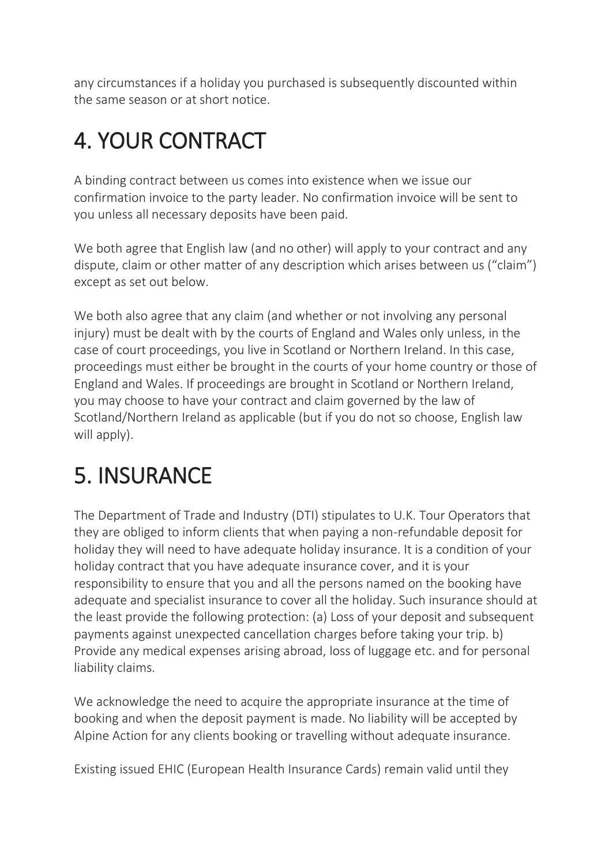any circumstances if a holiday you purchased is subsequently discounted within the same season or at short notice.

## 4. YOUR CONTRACT

A binding contract between us comes into existence when we issue our confirmation invoice to the party leader. No confirmation invoice will be sent to you unless all necessary deposits have been paid.

We both agree that English law (and no other) will apply to your contract and any dispute, claim or other matter of any description which arises between us ("claim") except as set out below.

We both also agree that any claim (and whether or not involving any personal injury) must be dealt with by the courts of England and Wales only unless, in the case of court proceedings, you live in Scotland or Northern Ireland. In this case, proceedings must either be brought in the courts of your home country or those of England and Wales. If proceedings are brought in Scotland or Northern Ireland, you may choose to have your contract and claim governed by the law of Scotland/Northern Ireland as applicable (but if you do not so choose, English law will apply).

## 5. INSURANCE

The Department of Trade and Industry (DTI) stipulates to U.K. Tour Operators that they are obliged to inform clients that when paying a non-refundable deposit for holiday they will need to have adequate holiday insurance. It is a condition of your holiday contract that you have adequate insurance cover, and it is your responsibility to ensure that you and all the persons named on the booking have adequate and specialist insurance to cover all the holiday. Such insurance should at the least provide the following protection: (a) Loss of your deposit and subsequent payments against unexpected cancellation charges before taking your trip. b) Provide any medical expenses arising abroad, loss of luggage etc. and for personal liability claims.

We acknowledge the need to acquire the appropriate insurance at the time of booking and when the deposit payment is made. No liability will be accepted by Alpine Action for any clients booking or travelling without adequate insurance.

Existing issued EHIC (European Health Insurance Cards) remain valid until they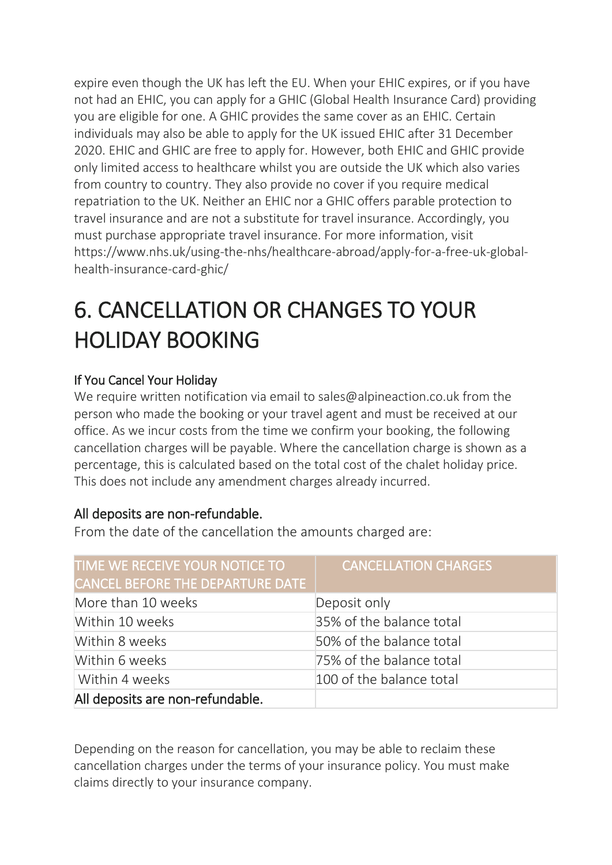expire even though the UK has left the EU. When your EHIC expires, or if you have not had an EHIC, you can apply for a GHIC (Global Health Insurance Card) providing you are eligible for one. A GHIC provides the same cover as an EHIC. Certain individuals may also be able to apply for the UK issued EHIC after 31 December 2020. EHIC and GHIC are free to apply for. However, both EHIC and GHIC provide only limited access to healthcare whilst you are outside the UK which also varies from country to country. They also provide no cover if you require medical repatriation to the UK. Neither an EHIC nor a GHIC offers parable protection to travel insurance and are not a substitute for travel insurance. Accordingly, you must purchase appropriate travel insurance. For more information, visit https://www.nhs.uk/using-the-nhs/healthcare-abroad/apply-for-a-free-uk-globalhealth-insurance-card-ghic/

## 6. CANCELLATION OR CHANGES TO YOUR HOLIDAY BOOKING

### If You Cancel Your Holiday

We require written notification via email to sales@alpineaction.co.uk from the person who made the booking or your travel agent and must be received at our office. As we incur costs from the time we confirm your booking, the following cancellation charges will be payable. Where the cancellation charge is shown as a percentage, this is calculated based on the total cost of the chalet holiday price. This does not include any amendment charges already incurred.

### All deposits are non-refundable.

From the date of the cancellation the amounts charged are:

| TIME WE RECEIVE YOUR NOTICE TO<br><b>CANCEL BEFORE THE DEPARTURE DATE</b> | <b>CANCELLATION CHARGES</b> |
|---------------------------------------------------------------------------|-----------------------------|
| More than 10 weeks                                                        | Deposit only                |
| Within 10 weeks                                                           | 35% of the balance total    |
| Within 8 weeks                                                            | 50% of the balance total    |
| Within 6 weeks                                                            | 75% of the balance total    |
| Within 4 weeks                                                            | 100 of the balance total    |
| All deposits are non-refundable.                                          |                             |

Depending on the reason for cancellation, you may be able to reclaim these cancellation charges under the terms of your insurance policy. You must make claims directly to your insurance company.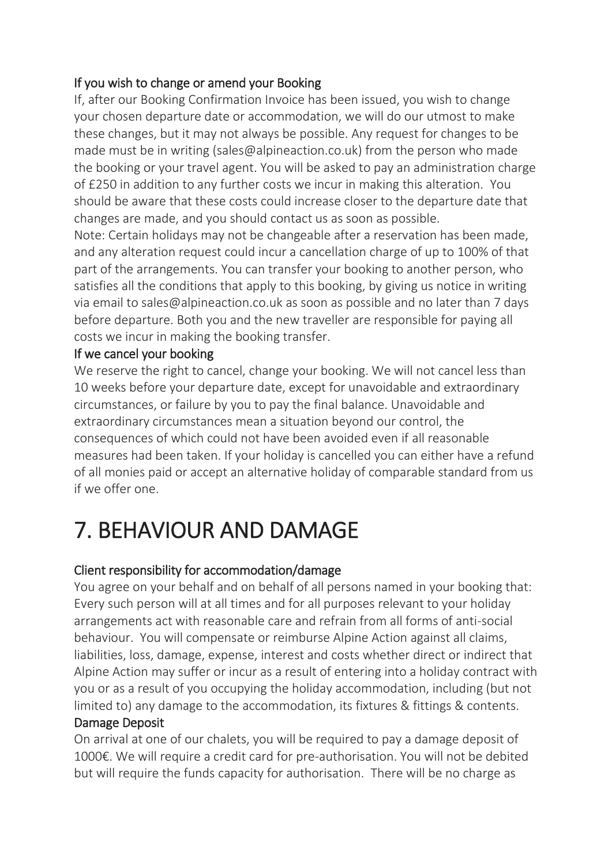### If you wish to change or amend your Booking

If, after our Booking Confirmation Invoice has been issued, you wish to change your chosen departure date or accommodation, we will do our utmost to make these changes, but it may not always be possible. Any request for changes to be made must be in writing (sales@alpineaction.co.uk) from the person who made the booking or your travel agent. You will be asked to pay an administration charge of £250 in addition to any further costs we incur in making this alteration. You should be aware that these costs could increase closer to the departure date that changes are made, and you should contact us as soon as possible.

Note: Certain holidays may not be changeable after a reservation has been made, and any alteration request could incur a cancellation charge of up to 100% of that part of the arrangements. You can transfer your booking to another person, who satisfies all the conditions that apply to this booking, by giving us notice in writing via email to sales@alpineaction.co.uk as soon as possible and no later than 7 days before departure. Both you and the new traveller are responsible for paying all costs we incur in making the booking transfer.

### If we cancel your booking

We reserve the right to cancel, change your booking. We will not cancel less than 10 weeks before your departure date, except for unavoidable and extraordinary circumstances, or failure by you to pay the final balance. Unavoidable and extraordinary circumstances mean a situation beyond our control, the consequences of which could not have been avoided even if all reasonable measures had been taken. If your holiday is cancelled you can either have a refund of all monies paid or accept an alternative holiday of comparable standard from us if we offer one.

### 7. BEHAVIOUR AND DAMAGE

### Client responsibility for accommodation/damage

You agree on your behalf and on behalf of all persons named in your booking that: Every such person will at all times and for all purposes relevant to your holiday arrangements act with reasonable care and refrain from all forms of anti-social behaviour. You will compensate or reimburse Alpine Action against all claims, liabilities, loss, damage, expense, interest and costs whether direct or indirect that Alpine Action may suffer or incur as a result of entering into a holiday contract with you or as a result of you occupying the holiday accommodation, including (but not limited to) any damage to the accommodation, its fixtures & fittings & contents. Damage Deposit

On arrival at one of our chalets, you will be required to pay a damage deposit of 1000€. We will require a credit card for pre-authorisation. You will not be debited but will require the funds capacity for authorisation. There will be no charge as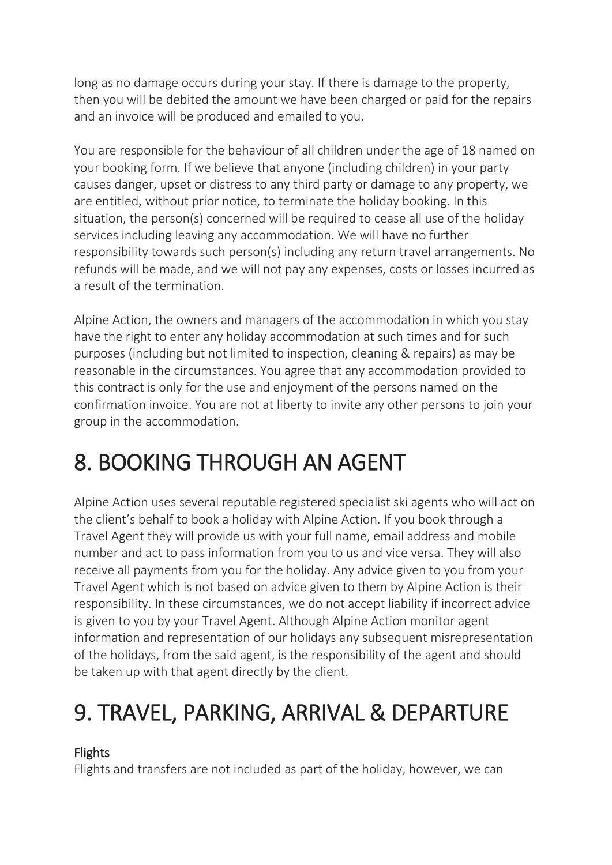long as no damage occurs during your stay. If there is damage to the property, then you will be debited the amount we have been charged or paid for the repairs and an invoice will be produced and emailed to you.

You are responsible for the behaviour of all children under the age of 18 named on your booking form. If we believe that anyone (including children) in your party causes danger, upset or distress to any third party or damage to any property, we are entitled, without prior notice, to terminate the holiday booking. In this situation, the person(s) concerned will be required to cease all use of the holiday services including leaving any accommodation. We will have no further responsibility towards such person(s) including any return travel arrangements. No refunds will be made, and we will not pay any expenses, costs or losses incurred as a result of the termination.

Alpine Action, the owners and managers of the accommodation in which you stay have the right to enter any holiday accommodation at such times and for such purposes (including but not limited to inspection, cleaning & repairs) as may be reasonable in the circumstances. You agree that any accommodation provided to this contract is only for the use and enjoyment of the persons named on the confirmation invoice. You are not at liberty to invite any other persons to join your group in the accommodation.

### 8. BOOKING THROUGH AN AGENT

Alpine Action uses several reputable registered specialist ski agents who will act on the client's behalf to book a holiday with Alpine Action. If you book through a Travel Agent they will provide us with your full name, email address and mobile number and act to pass information from you to us and vice versa. They will also receive all payments from you for the holiday. Any advice given to you from your Travel Agent which is not based on advice given to them by Alpine Action is their responsibility. In these circumstances, we do not accept liability if incorrect advice is given to you by your Travel Agent. Although Alpine Action monitor agent information and representation of our holidays any subsequent misrepresentation of the holidays, from the said agent, is the responsibility of the agent and should be taken up with that agent directly by the client.

## 9. TRAVEL, PARKING, ARRIVAL & DEPARTURE

### Flights

Flights and transfers are not included as part of the holiday, however, we can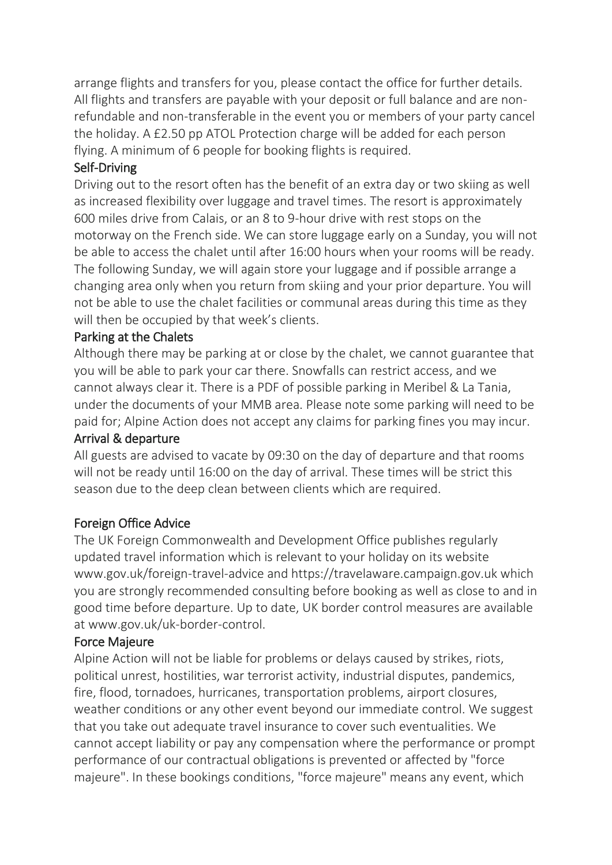arrange flights and transfers for you, please contact the office for further details. All flights and transfers are payable with your deposit or full balance and are nonrefundable and non-transferable in the event you or members of your party cancel the holiday. A £2.50 pp ATOL Protection charge will be added for each person flying. A minimum of 6 people for booking flights is required.

#### Self-Driving

Driving out to the resort often has the benefit of an extra day or two skiing as well as increased flexibility over luggage and travel times. The resort is approximately 600 miles drive from Calais, or an 8 to 9-hour drive with rest stops on the motorway on the French side. We can store luggage early on a Sunday, you will not be able to access the chalet until after 16:00 hours when your rooms will be ready. The following Sunday, we will again store your luggage and if possible arrange a changing area only when you return from skiing and your prior departure. You will not be able to use the chalet facilities or communal areas during this time as they will then be occupied by that week's clients.

#### Parking at the Chalets

Although there may be parking at or close by the chalet, we cannot guarantee that you will be able to park your car there. Snowfalls can restrict access, and we cannot always clear it. There is a PDF of possible parking in Meribel & La Tania, under the documents of your MMB area. Please note some parking will need to be paid for; Alpine Action does not accept any claims for parking fines you may incur.

#### Arrival & departure

All guests are advised to vacate by 09:30 on the day of departure and that rooms will not be ready until 16:00 on the day of arrival. These times will be strict this season due to the deep clean between clients which are required.

### Foreign Office Advice

The UK Foreign Commonwealth and Development Office publishes regularly updated travel information which is relevant to your holiday on its website www.gov.uk/foreign-travel-advice and https://travelaware.campaign.gov.uk which you are strongly recommended consulting before booking as well as close to and in good time before departure. Up to date, UK border control measures are available at www.gov.uk/uk-border-control.

#### Force Majeure

Alpine Action will not be liable for problems or delays caused by strikes, riots, political unrest, hostilities, war terrorist activity, industrial disputes, pandemics, fire, flood, tornadoes, hurricanes, transportation problems, airport closures, weather conditions or any other event beyond our immediate control. We suggest that you take out adequate travel insurance to cover such eventualities. We cannot accept liability or pay any compensation where the performance or prompt performance of our contractual obligations is prevented or affected by "force majeure". In these bookings conditions, "force majeure" means any event, which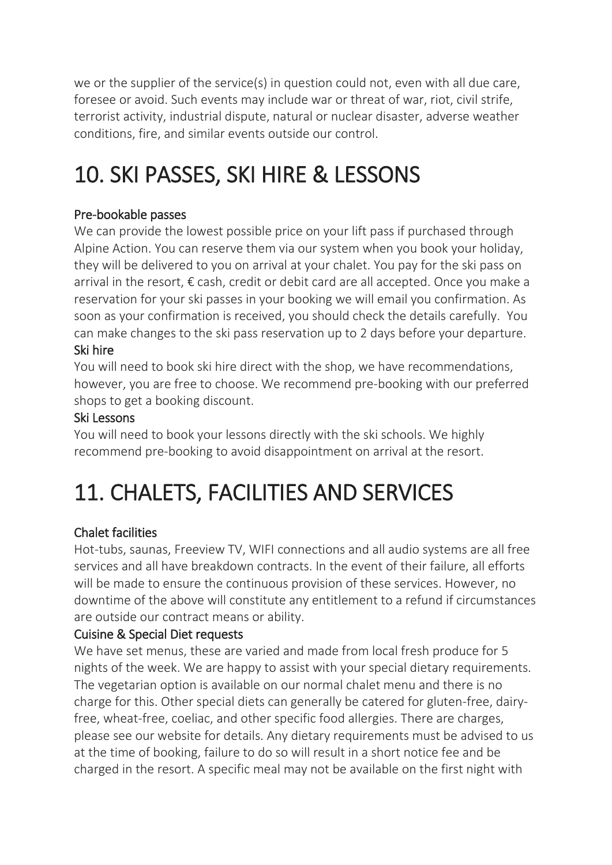we or the supplier of the service(s) in question could not, even with all due care, foresee or avoid. Such events may include war or threat of war, riot, civil strife, terrorist activity, industrial dispute, natural or nuclear disaster, adverse weather conditions, fire, and similar events outside our control.

## 10. SKI PASSES, SKI HIRE & LESSONS

### Pre-bookable passes

We can provide the lowest possible price on your lift pass if purchased through Alpine Action. You can reserve them via our system when you book your holiday, they will be delivered to you on arrival at your chalet. You pay for the ski pass on arrival in the resort,  $\epsilon$  cash, credit or debit card are all accepted. Once you make a reservation for your ski passes in your booking we will email you confirmation. As soon as your confirmation is received, you should check the details carefully. You can make changes to the ski pass reservation up to 2 days before your departure. Ski hire

You will need to book ski hire direct with the shop, we have recommendations, however, you are free to choose. We recommend pre-booking with our preferred shops to get a booking discount.

### Ski Lessons

You will need to book your lessons directly with the ski schools. We highly recommend pre-booking to avoid disappointment on arrival at the resort.

# 11. CHALETS, FACILITIES AND SERVICES

### Chalet facilities

Hot-tubs, saunas, Freeview TV, WIFI connections and all audio systems are all free services and all have breakdown contracts. In the event of their failure, all efforts will be made to ensure the continuous provision of these services. However, no downtime of the above will constitute any entitlement to a refund if circumstances are outside our contract means or ability.

### Cuisine & Special Diet requests

We have set menus, these are varied and made from local fresh produce for 5 nights of the week. We are happy to assist with your special dietary requirements. The vegetarian option is available on our normal chalet menu and there is no charge for this. Other special diets can generally be catered for gluten-free, dairyfree, wheat-free, coeliac, and other specific food allergies. There are charges, please see our website for details. Any dietary requirements must be advised to us at the time of booking, failure to do so will result in a short notice fee and be charged in the resort. A specific meal may not be available on the first night with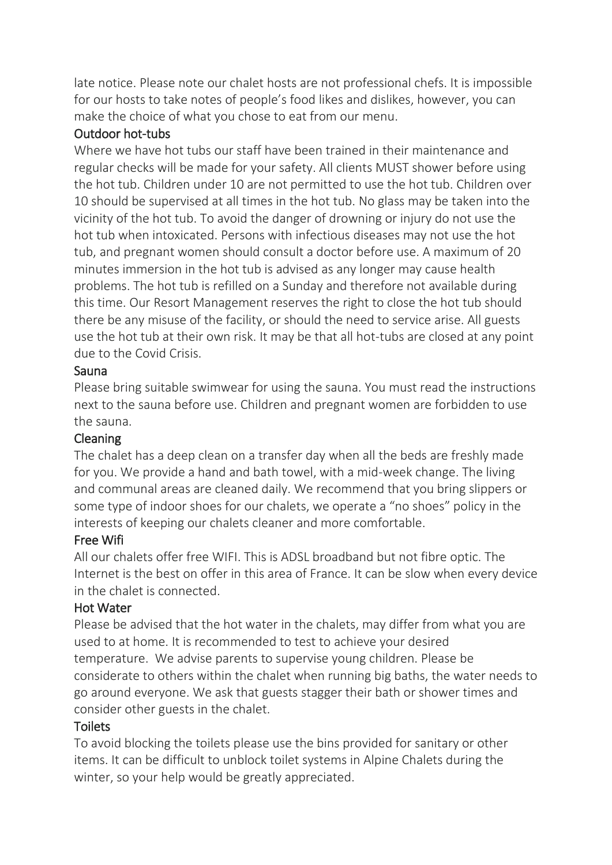late notice. Please note our chalet hosts are not professional chefs. It is impossible for our hosts to take notes of people's food likes and dislikes, however, you can make the choice of what you chose to eat from our menu.

### Outdoor hot-tubs

Where we have hot tubs our staff have been trained in their maintenance and regular checks will be made for your safety. All clients MUST shower before using the hot tub. Children under 10 are not permitted to use the hot tub. Children over 10 should be supervised at all times in the hot tub. No glass may be taken into the vicinity of the hot tub. To avoid the danger of drowning or injury do not use the hot tub when intoxicated. Persons with infectious diseases may not use the hot tub, and pregnant women should consult a doctor before use. A maximum of 20 minutes immersion in the hot tub is advised as any longer may cause health problems. The hot tub is refilled on a Sunday and therefore not available during this time. Our Resort Management reserves the right to close the hot tub should there be any misuse of the facility, or should the need to service arise. All guests use the hot tub at their own risk. It may be that all hot-tubs are closed at any point due to the Covid Crisis.

### Sauna

Please bring suitable swimwear for using the sauna. You must read the instructions next to the sauna before use. Children and pregnant women are forbidden to use the sauna.

### Cleaning

The chalet has a deep clean on a transfer day when all the beds are freshly made for you. We provide a hand and bath towel, with a mid-week change. The living and communal areas are cleaned daily. We recommend that you bring slippers or some type of indoor shoes for our chalets, we operate a "no shoes" policy in the interests of keeping our chalets cleaner and more comfortable.

### Free Wifi

All our chalets offer free WIFI. This is ADSL broadband but not fibre optic. The Internet is the best on offer in this area of France. It can be slow when every device in the chalet is connected.

### Hot Water

Please be advised that the hot water in the chalets, may differ from what you are used to at home. It is recommended to test to achieve your desired temperature. We advise parents to supervise young children. Please be considerate to others within the chalet when running big baths, the water needs to go around everyone. We ask that guests stagger their bath or shower times and consider other guests in the chalet.

### Toilets

To avoid blocking the toilets please use the bins provided for sanitary or other items. It can be difficult to unblock toilet systems in Alpine Chalets during the winter, so your help would be greatly appreciated.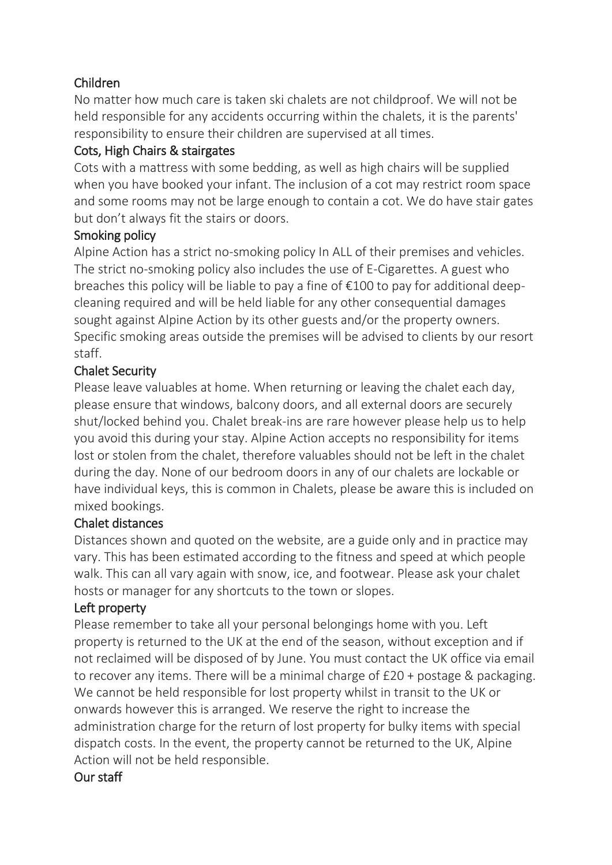### Children

No matter how much care is taken ski chalets are not childproof. We will not be held responsible for any accidents occurring within the chalets, it is the parents' responsibility to ensure their children are supervised at all times.

### Cots, High Chairs & stairgates

Cots with a mattress with some bedding, as well as high chairs will be supplied when you have booked your infant. The inclusion of a cot may restrict room space and some rooms may not be large enough to contain a cot. We do have stair gates but don't always fit the stairs or doors.

### Smoking policy

Alpine Action has a strict no-smoking policy In ALL of their premises and vehicles. The strict no-smoking policy also includes the use of E-Cigarettes. A guest who breaches this policy will be liable to pay a fine of €100 to pay for additional deepcleaning required and will be held liable for any other consequential damages sought against Alpine Action by its other guests and/or the property owners. Specific smoking areas outside the premises will be advised to clients by our resort staff.

### Chalet Security

Please leave valuables at home. When returning or leaving the chalet each day, please ensure that windows, balcony doors, and all external doors are securely shut/locked behind you. Chalet break-ins are rare however please help us to help you avoid this during your stay. Alpine Action accepts no responsibility for items lost or stolen from the chalet, therefore valuables should not be left in the chalet during the day. None of our bedroom doors in any of our chalets are lockable or have individual keys, this is common in Chalets, please be aware this is included on mixed bookings.

### Chalet distances

Distances shown and quoted on the website, are a guide only and in practice may vary. This has been estimated according to the fitness and speed at which people walk. This can all vary again with snow, ice, and footwear. Please ask your chalet hosts or manager for any shortcuts to the town or slopes.

### Left property

Please remember to take all your personal belongings home with you. Left property is returned to the UK at the end of the season, without exception and if not reclaimed will be disposed of by June. You must contact the UK office via email to recover any items. There will be a minimal charge of £20 + postage & packaging. We cannot be held responsible for lost property whilst in transit to the UK or onwards however this is arranged. We reserve the right to increase the administration charge for the return of lost property for bulky items with special dispatch costs. In the event, the property cannot be returned to the UK, Alpine Action will not be held responsible.

### Our staff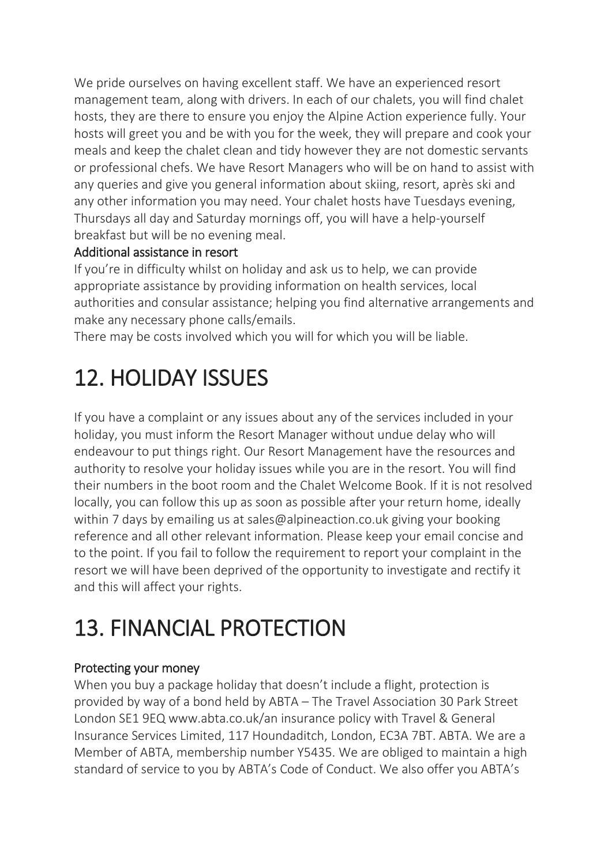We pride ourselves on having excellent staff. We have an experienced resort management team, along with drivers. In each of our chalets, you will find chalet hosts, they are there to ensure you enjoy the Alpine Action experience fully. Your hosts will greet you and be with you for the week, they will prepare and cook your meals and keep the chalet clean and tidy however they are not domestic servants or professional chefs. We have Resort Managers who will be on hand to assist with any queries and give you general information about skiing, resort, après ski and any other information you may need. Your chalet hosts have Tuesdays evening, Thursdays all day and Saturday mornings off, you will have a help-yourself breakfast but will be no evening meal.

### Additional assistance in resort

If you're in difficulty whilst on holiday and ask us to help, we can provide appropriate assistance by providing information on health services, local authorities and consular assistance; helping you find alternative arrangements and make any necessary phone calls/emails.

There may be costs involved which you will for which you will be liable.

## 12. HOLIDAY ISSUES

If you have a complaint or any issues about any of the services included in your holiday, you must inform the Resort Manager without undue delay who will endeavour to put things right. Our Resort Management have the resources and authority to resolve your holiday issues while you are in the resort. You will find their numbers in the boot room and the Chalet Welcome Book. If it is not resolved locally, you can follow this up as soon as possible after your return home, ideally within 7 days by emailing us at sales@alpineaction.co.uk giving your booking reference and all other relevant information. Please keep your email concise and to the point. If you fail to follow the requirement to report your complaint in the resort we will have been deprived of the opportunity to investigate and rectify it and this will affect your rights.

### 13. FINANCIAL PROTECTION

### Protecting your money

When you buy a package holiday that doesn't include a flight, protection is provided by way of a bond held by ABTA – The Travel Association 30 Park Street London SE1 9EQ www.abta.co.uk/an insurance policy with Travel & General Insurance Services Limited, 117 Houndaditch, London, EC3A 7BT. ABTA. We are a Member of ABTA, membership number Y5435. We are obliged to maintain a high standard of service to you by ABTA's Code of Conduct. We also offer you ABTA's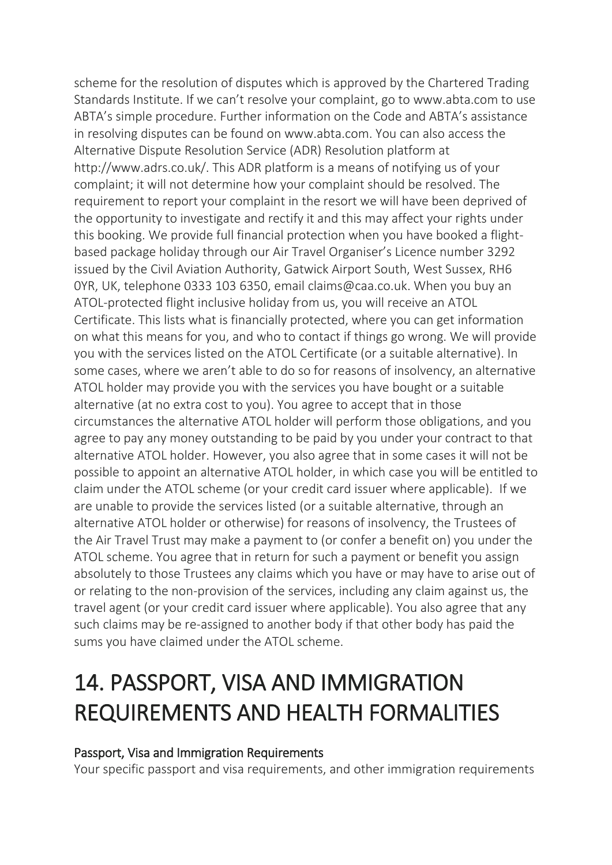scheme for the resolution of disputes which is approved by the Chartered Trading Standards Institute. If we can't resolve your complaint, go to www.abta.com to use ABTA's simple procedure. Further information on the Code and ABTA's assistance in resolving disputes can be found on www.abta.com. You can also access the Alternative Dispute Resolution Service (ADR) Resolution platform at http://www.adrs.co.uk/. This ADR platform is a means of notifying us of your complaint; it will not determine how your complaint should be resolved. The requirement to report your complaint in the resort we will have been deprived of the opportunity to investigate and rectify it and this may affect your rights under this booking. We provide full financial protection when you have booked a flightbased package holiday through our Air Travel Organiser's Licence number 3292 issued by the Civil Aviation Authority, Gatwick Airport South, West Sussex, RH6 0YR, UK, telephone 0333 103 6350, email claims@caa.co.uk. When you buy an ATOL-protected flight inclusive holiday from us, you will receive an ATOL Certificate. This lists what is financially protected, where you can get information on what this means for you, and who to contact if things go wrong. We will provide you with the services listed on the ATOL Certificate (or a suitable alternative). In some cases, where we aren't able to do so for reasons of insolvency, an alternative ATOL holder may provide you with the services you have bought or a suitable alternative (at no extra cost to you). You agree to accept that in those circumstances the alternative ATOL holder will perform those obligations, and you agree to pay any money outstanding to be paid by you under your contract to that alternative ATOL holder. However, you also agree that in some cases it will not be possible to appoint an alternative ATOL holder, in which case you will be entitled to claim under the ATOL scheme (or your credit card issuer where applicable). If we are unable to provide the services listed (or a suitable alternative, through an alternative ATOL holder or otherwise) for reasons of insolvency, the Trustees of the Air Travel Trust may make a payment to (or confer a benefit on) you under the ATOL scheme. You agree that in return for such a payment or benefit you assign absolutely to those Trustees any claims which you have or may have to arise out of or relating to the non-provision of the services, including any claim against us, the travel agent (or your credit card issuer where applicable). You also agree that any such claims may be re-assigned to another body if that other body has paid the sums you have claimed under the ATOL scheme.

## 14. PASSPORT, VISA AND IMMIGRATION REQUIREMENTS AND HEALTH FORMALITIES

### Passport, Visa and Immigration Requirements

Your specific passport and visa requirements, and other immigration requirements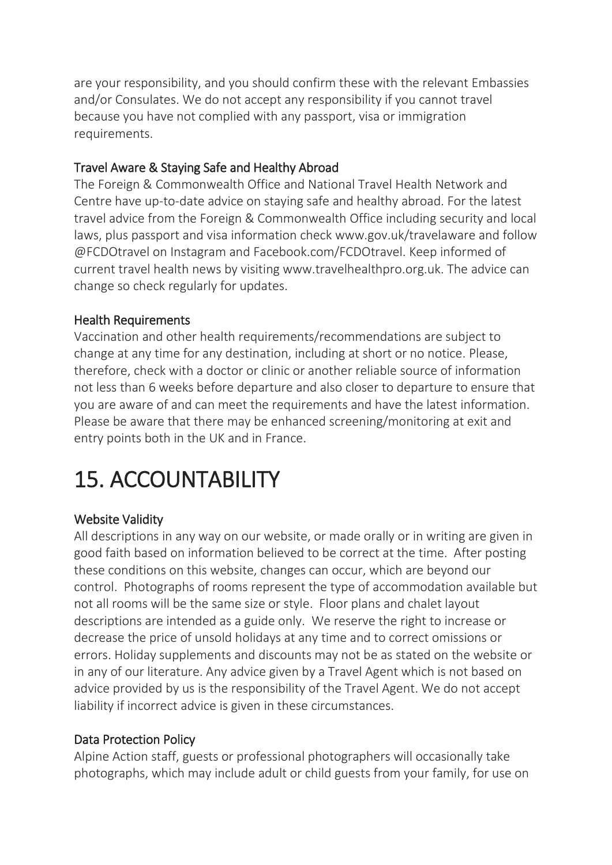are your responsibility, and you should confirm these with the relevant Embassies and/or Consulates. We do not accept any responsibility if you cannot travel because you have not complied with any passport, visa or immigration requirements.

### Travel Aware & Staying Safe and Healthy Abroad

The Foreign & Commonwealth Office and National Travel Health Network and Centre have up-to-date advice on staying safe and healthy abroad. For the latest travel advice from the Foreign & Commonwealth Office including security and local laws, plus passport and visa information check www.gov.uk/travelaware and follow @FCDOtravel on Instagram and Facebook.com/FCDOtravel. Keep informed of current travel health news by visiting www.travelhealthpro.org.uk. The advice can change so check regularly for updates.

### Health Requirements

Vaccination and other health requirements/recommendations are subject to change at any time for any destination, including at short or no notice. Please, therefore, check with a doctor or clinic or another reliable source of information not less than 6 weeks before departure and also closer to departure to ensure that you are aware of and can meet the requirements and have the latest information. Please be aware that there may be enhanced screening/monitoring at exit and entry points both in the UK and in France.

## 15. ACCOUNTABILITY

### Website Validity

All descriptions in any way on our website, or made orally or in writing are given in good faith based on information believed to be correct at the time. After posting these conditions on this website, changes can occur, which are beyond our control. Photographs of rooms represent the type of accommodation available but not all rooms will be the same size or style. Floor plans and chalet layout descriptions are intended as a guide only. We reserve the right to increase or decrease the price of unsold holidays at any time and to correct omissions or errors. Holiday supplements and discounts may not be as stated on the website or in any of our literature. Any advice given by a Travel Agent which is not based on advice provided by us is the responsibility of the Travel Agent. We do not accept liability if incorrect advice is given in these circumstances.

### Data Protection Policy

Alpine Action staff, guests or professional photographers will occasionally take photographs, which may include adult or child guests from your family, for use on